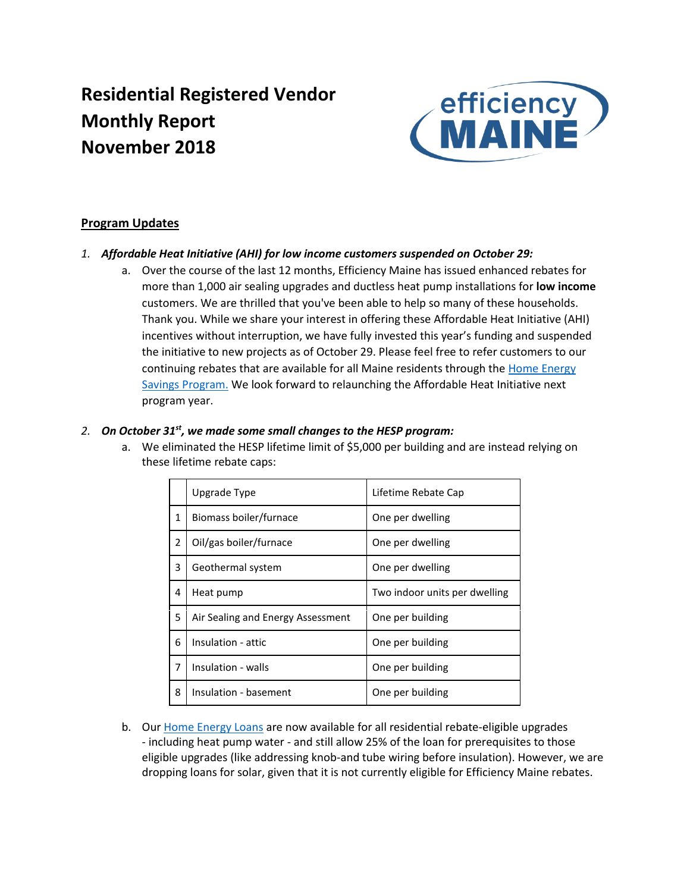# **Residential Registered Vendor Monthly Report November 2018**



### **Program Updates**

- *1. Affordable Heat Initiative (AHI) for low income customers suspended on October 29:*
	- a. Over the course of the last 12 months, Efficiency Maine has issued enhanced rebates for more than 1,000 air sealing upgrades and ductless heat pump installations for **low income** customers. We are thrilled that you've been able to help so many of these households. Thank you. While we share your interest in offering these Affordable Heat Initiative (AHI) incentives without interruption, we have fully invested this year's funding and suspended the initiative to new projects as of October 29. Please feel free to refer customers to our continuing rebates that are available for all Maine residents through the [Home Energy](https://www.efficiencymaine.com/at-home/)  [Savings Program.](https://www.efficiencymaine.com/at-home/) We look forward to relaunching the Affordable Heat Initiative next program year.

### *2. On October 31st, we made some small changes to the HESP program:*

a. We eliminated the HESP lifetime limit of \$5,000 per building and are instead relying on these lifetime rebate caps:

|              | Upgrade Type                      | Lifetime Rebate Cap           |
|--------------|-----------------------------------|-------------------------------|
| $\mathbf{1}$ | Biomass boiler/furnace            | One per dwelling              |
| 2            | Oil/gas boiler/furnace            | One per dwelling              |
| 3            | Geothermal system                 | One per dwelling              |
| 4            | Heat pump                         | Two indoor units per dwelling |
| 5            | Air Sealing and Energy Assessment | One per building              |
| 6            | Insulation - attic                | One per building              |
| 7            | Insulation - walls                | One per building              |
| 8            | Insulation - basement             | One per building              |

b. Our [Home Energy Loans](https://www.efficiencymaine.com/at-home/energy-loans/) are now available for all residential rebate-eligible upgrades - including heat pump water - and still allow 25% of the loan for prerequisites to those eligible upgrades (like addressing knob-and tube wiring before insulation). However, we are dropping loans for solar, given that it is not currently eligible for Efficiency Maine rebates.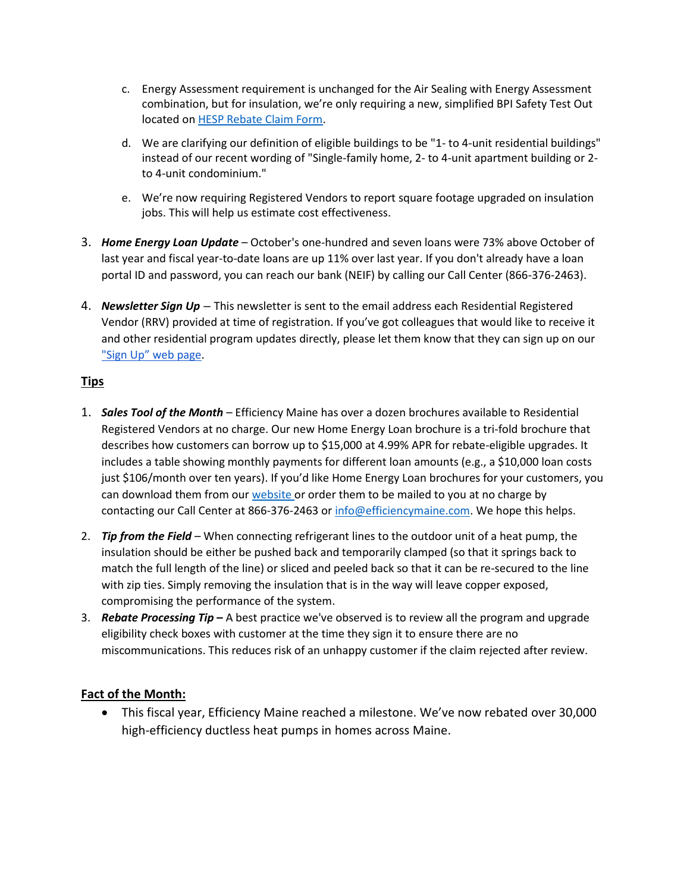- c. Energy Assessment requirement is unchanged for the Air Sealing with Energy Assessment combination, but for insulation, we're only requiring a new, simplified BPI Safety Test Out located o[n HESP Rebate Claim Form.](https://www.efficiencymaine.com/docs/HESP-Completion-Form-Universal.pdf)
- d. We are clarifying our definition of eligible buildings to be "1- to 4-unit residential buildings" instead of our recent wording of "Single-family home, 2- to 4-unit apartment building or 2 to 4-unit condominium."
- e. We're now requiring Registered Vendors to report square footage upgraded on insulation jobs. This will help us estimate cost effectiveness.
- 3. *Home Energy Loan Update* October's one-hundred and seven loans were 73% above October of last year and fiscal year-to-date loans are up 11% over last year. If you don't already have a loan portal ID and password, you can reach our bank (NEIF) by calling our Call Center (866-376-2463).
- 4. *Newsletter Sign Up* This newsletter is sent to the email address each Residential Registered Vendor (RRV) provided at time of registration. If you've got colleagues that would like to receive it and other residential program updates directly, please let them know that they can sign up on our ["Sign Up" web page](https://www.efficiencymaine.com/about/newsletter-signup/).

### **Tips**

- 1. *Sales Tool of the Month* Efficiency Maine has over a dozen brochures available to Residential Registered Vendors at no charge. Our new Home Energy Loan brochure is a tri-fold brochure that describes how customers can borrow up to \$15,000 at 4.99% APR for rebate-eligible upgrades. It includes a table showing monthly payments for different loan amounts (e.g., a \$10,000 loan costs just \$106/month over ten years). If you'd like Home Energy Loan brochures for your customers, you can download them from our website or order them to be mailed to you at no charge by contacting our Call Center at 866-376-2463 or [info@efficiencymaine.com.](mailto:info@efficiencymaine.com) We hope this helps.
- 2. *Tip from the Field* When connecting refrigerant lines to the outdoor unit of a heat pump, the insulation should be either be pushed back and temporarily clamped (so that it springs back to match the full length of the line) or sliced and peeled back so that it can be re-secured to the line with zip ties. Simply removing the insulation that is in the way will leave copper exposed, compromising the performance of the system.
- 3. *Rebate Processing Tip* **–** A best practice we've observed is to review all the program and upgrade eligibility check boxes with customer at the time they sign it to ensure there are no miscommunications. This reduces risk of an unhappy customer if the claim rejected after review.

## **Fact of the Month:**

• This fiscal year, Efficiency Maine reached a milestone. We've now rebated over 30,000 high-efficiency ductless heat pumps in homes across Maine.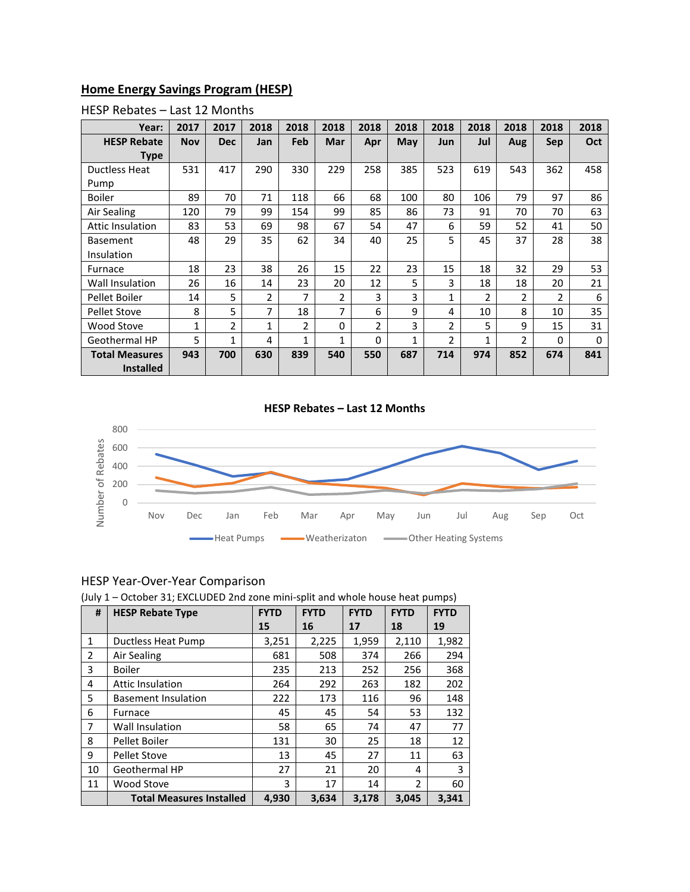### **Home Energy Savings Program (HESP)**

| Year:                 | 2017         | 2017           | 2018 | 2018         | 2018           | 2018 | 2018 | 2018           | 2018           | 2018           | 2018       | 2018 |
|-----------------------|--------------|----------------|------|--------------|----------------|------|------|----------------|----------------|----------------|------------|------|
| <b>HESP Rebate</b>    | <b>Nov</b>   | <b>Dec</b>     | Jan  | Feb          | Mar            | Apr  | May  | Jun            | Jul            | Aug            | <b>Sep</b> | Oct  |
| Type                  |              |                |      |              |                |      |      |                |                |                |            |      |
| <b>Ductless Heat</b>  | 531          | 417            | 290  | 330          | 229            | 258  | 385  | 523            | 619            | 543            | 362        | 458  |
| Pump                  |              |                |      |              |                |      |      |                |                |                |            |      |
| Boiler                | 89           | 70             | 71   | 118          | 66             | 68   | 100  | 80             | 106            | 79             | 97         | 86   |
| Air Sealing           | 120          | 79             | 99   | 154          | 99             | 85   | 86   | 73             | 91             | 70             | 70         | 63   |
| Attic Insulation      | 83           | 53             | 69   | 98           | 67             | 54   | 47   | 6              | 59             | 52             | 41         | 50   |
| <b>Basement</b>       | 48           | 29             | 35   | 62           | 34             | 40   | 25   | 5              | 45             | 37             | 28         | 38   |
| Insulation            |              |                |      |              |                |      |      |                |                |                |            |      |
| Furnace               | 18           | 23             | 38   | 26           | 15             | 22   | 23   | 15             | 18             | 32             | 29         | 53   |
| Wall Insulation       | 26           | 16             | 14   | 23           | 20             | 12   | 5    | 3              | 18             | 18             | 20         | 21   |
| Pellet Boiler         | 14           | 5              | 2    | 7            | $\overline{2}$ | 3    | 3    | 1              | $\overline{2}$ | $\overline{2}$ | 2          | 6    |
| <b>Pellet Stove</b>   | 8            | 5              | 7    | 18           | 7              | 6    | 9    | 4              | 10             | 8              | 10         | 35   |
| Wood Stove            | $\mathbf{1}$ | $\overline{2}$ | 1    | 2            | 0              | 2    | 3    | $\overline{2}$ | 5              | 9              | 15         | 31   |
| Geothermal HP         | 5            | 1              | 4    | $\mathbf{1}$ | 1              | 0    | 1    | 2              | 1              | $\overline{2}$ | 0          | 0    |
| <b>Total Measures</b> | 943          | 700            | 630  | 839          | 540            | 550  | 687  | 714            | 974            | 852            | 674        | 841  |
| <b>Installed</b>      |              |                |      |              |                |      |      |                |                |                |            |      |

#### HESP Rebates – Last 12 Months

#### **HESP Rebates – Last 12 Months**



# HESP Year-Over-Year Comparison

| (July 1 – October 31; EXCLUDED 2nd zone mini-split and whole house heat pumps) |  |  |
|--------------------------------------------------------------------------------|--|--|
|--------------------------------------------------------------------------------|--|--|

| #            | <b>HESP Rebate Type</b>         | <b>FYTD</b> | <b>FYTD</b> |       | <b>FYTD</b>    | <b>FYTD</b> |
|--------------|---------------------------------|-------------|-------------|-------|----------------|-------------|
|              |                                 | 15          | 16          | 17    | 18             | 19          |
| $\mathbf{1}$ | Ductless Heat Pump              | 3,251       | 2,225       | 1,959 | 2,110          | 1,982       |
| 2            | Air Sealing                     | 681         | 508         | 374   | 266            | 294         |
| 3            | <b>Boiler</b>                   | 235         | 213         | 252   | 256            | 368         |
| 4            | <b>Attic Insulation</b>         | 264         | 292         | 263   | 182            | 202         |
| 5            | <b>Basement Insulation</b>      | 222         | 173         | 116   | 96             | 148         |
| 6            | Furnace                         | 45          | 45          | 54    | 53             | 132         |
| 7            | <b>Wall Insulation</b>          | 58          | 65          | 74    | 47             | 77          |
| 8            | Pellet Boiler                   | 131         | 30          | 25    | 18             | 12          |
| 9            | <b>Pellet Stove</b>             | 13          | 45          | 27    | 11             | 63          |
| 10           | Geothermal HP                   | 27          | 21          | 20    | 4              | 3           |
| 11           | Wood Stove                      | 3           | 17          | 14    | $\mathfrak{p}$ | 60          |
|              | <b>Total Measures Installed</b> | 4,930       | 3,634       | 3,178 | 3,045          | 3,341       |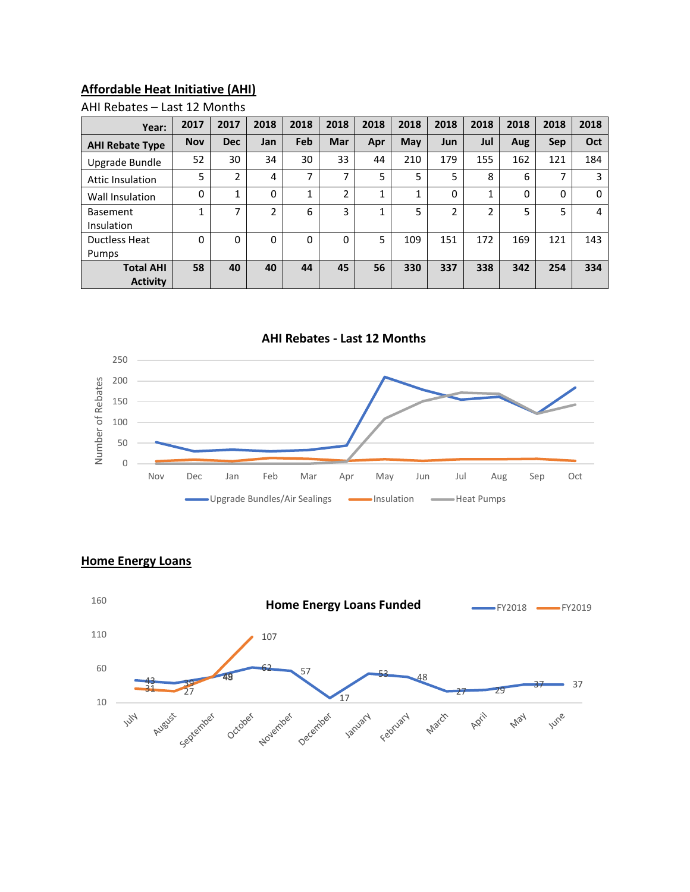## **Affordable Heat Initiative (AHI)**

### AHI Rebates – Last 12 Months

| Year:                               | 2017       | 2017           | 2018                     | 2018                     | 2018       | 2018         | 2018 | 2018        | 2018 | 2018 | 2018 | 2018 |
|-------------------------------------|------------|----------------|--------------------------|--------------------------|------------|--------------|------|-------------|------|------|------|------|
| <b>AHI Rebate Type</b>              | <b>Nov</b> | <b>Dec</b>     | Jan                      | Feb                      | <b>Mar</b> | Apr          | May  | Jun         | Jul  | Aug  | Sep  | Oct  |
| Upgrade Bundle                      | 52         | 30             | 34                       | 30                       | 33         | 44           | 210  | 179         | 155  | 162  | 121  | 184  |
| Attic Insulation                    | 5          | $\overline{2}$ | 4                        | $\overline{\phantom{a}}$ | ⇁          | 5            | 5    | 5           | 8    | 6    | 7    | 3    |
| Wall Insulation                     | 0          | 1              | $\Omega$                 | 1                        | C.         | $\mathbf{1}$ |      | $\mathbf 0$ |      | 0    | 0    | 0    |
| <b>Basement</b><br>Insulation       | ◢          | ⇁              | $\overline{\phantom{a}}$ | 6                        | 3          | 1            | 5    | 2           | ำ    | 5    | 5    | 4    |
| Ductless Heat                       | 0          | 0              | 0                        | 0                        | 0          | 5            | 109  | 151         | 172  | 169  | 121  | 143  |
| Pumps                               |            |                |                          |                          |            |              |      |             |      |      |      |      |
| <b>Total AHI</b><br><b>Activity</b> | 58         | 40             | 40                       | 44                       | 45         | 56           | 330  | 337         | 338  | 342  | 254  | 334  |



### **Home Energy Loans**